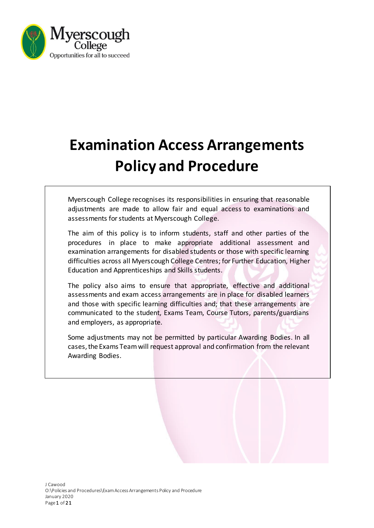

# **Examination Access Arrangements Policy and Procedure**

Myerscough College recognises its responsibilities in ensuring that reasonable adjustments are made to allow fair and equal access to examinations and assessments for students at Myerscough College.

The aim of this policy is to inform students, staff and other parties of the procedures in place to make appropriate additional assessment and examination arrangements for disabled students or those with specific learning difficulties across all Myerscough College Centres; for Further Education, Higher Education and Apprenticeships and Skills students.

The policy also aims to ensure that appropriate, effective and additional assessments and exam access arrangements are in place for disabled learners and those with specific learning difficulties and; that these arrangements are communicated to the student, Exams Team, Course Tutors, parents/guardians and employers, as appropriate.

Some adjustments may not be permitted by particular Awarding Bodies. In all cases, the Exams Team will request approval and confirmation from the relevant Awarding Bodies.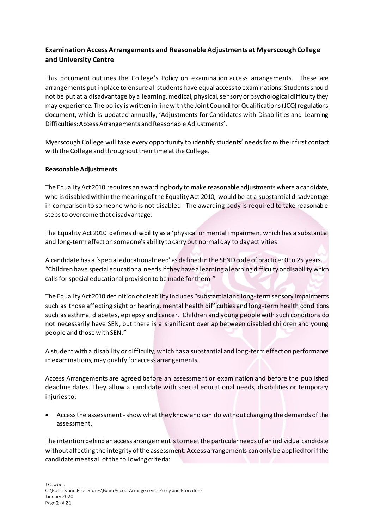# **Examination Access Arrangements and Reasonable Adjustments at Myerscough College and University Centre**

This document outlines the College's Policy on examination access arrangements. These are arrangements put in place to ensure all students have equal access to examinations. Students should not be put at a disadvantage by a learning, medical, physical, sensory or psychological difficulty they may experience. The policy is written in line with the Joint Council for Qualifications (JCQ) regulations document, which is updated annually, 'Adjustments for Candidates with Disabilities and Learning Difficulties: Access Arrangements and Reasonable Adjustments'.

Myerscough College will take every opportunity to identify students' needs from their first contact with the College and throughout their time at the College.

# **Reasonable Adjustments**

The Equality Act 2010 requires an awarding body to make reasonable adjustments where a candidate, who is disabled within the meaning of the Equality Act 2010, would be at a substantial disadvantage in comparison to someone who is not disabled. The awarding body is required to take reasonable steps to overcome that disadvantage.

The Equality Act 2010 defines disability as a 'physical or mental impairment which has a substantial and long-term effect on someone's ability to carry out normal day to day activities

A candidate has a 'special educational need' as defined in the SEND code of practice: 0 to 25 years. "Children have special educational needsif they have a learning a learning difficulty or disability which calls for special educational provision to be made for them."

The Equality Act 2010 definition of disability includes "substantialand long-term sensory impairments such as those affecting sight or hearing, mental health difficulties and long-term health conditions such as asthma, diabetes, epilepsy and cancer. Children and young people with such conditions do not necessarily have SEN, but there is a significant overlap between disabled children and young people and those with SEN."

A student with a disability or difficulty, which has a substantial and long-term effect on performance in examinations, may qualify for access arrangements.

Access Arrangements are agreed before an assessment or examination and before the published deadline dates. They allow a candidate with special educational needs, disabilities or temporary injuries to:

• Access the assessment-show what they know and can do without changing the demands of the assessment.

The intention behind an access arrangement is to meet the particular needs of an individual candidate without affecting the integrity of the assessment. Access arrangements can only be applied for if the candidate meets all of the following criteria: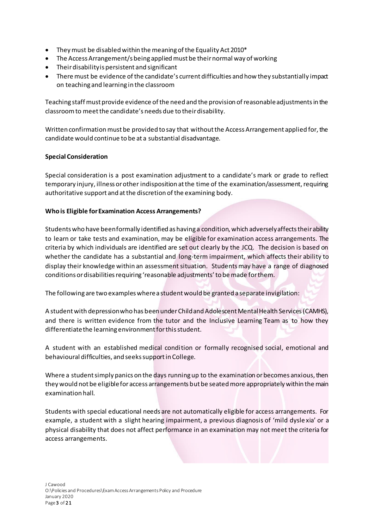- They must be disabled within the meaning of the Equality Act 2010\*
- The Access Arrangement/s being applied must be their normal way of working
- Their disability is persistent and significant
- There must be evidence of the candidate's current difficulties and how they substantially impact on teaching and learning in the classroom

Teaching staff must provide evidence of the need and the provision of reasonable adjustments in the classroom to meet the candidate's needs due to their disability.

Written confirmation must be provided to say that without the Access Arrangement applied for, the candidate would continue to be at a substantial disadvantage.

#### **Special Consideration**

Special consideration is a post examination adjustment to a candidate's mark or grade to reflect temporary injury, illness or other indisposition at the time of the examination/assessment, requiring authoritative support and at the discretion of the examining body.

#### **Who is Eligible for Examination Access Arrangements?**

Students who have been formally identified as having a condition, which adversely affects their ability to learn or take tests and examination, may be eligible for examination access arrangements. The criteria by which individuals are identified are set out clearly by the JCQ. The decision is based on whether the candidate has a substantial and long-term impairment, which affects their ability to display their knowledge within an assessment situation. Students may have a range of diagnosed conditions or disabilities requiring 'reasonable adjustments' to be made for them.

The following are two examples where a student would be granted a separate invigilation:

A student with depression who has been under Child and Adolescent Mental Health Services (CAMHS), and there is written evidence from the tutor and the Inclusive Learning Team as to how they differentiate the learning environment for this student.

A student with an established medical condition or formally recognised social, emotional and behavioural difficulties, and seeks support in College.

Where a student simply panics on the days running up to the examination or becomes anxious, then they would not be eligible for access arrangements but be seated more appropriately within the main examination hall.

Students with special educational needs are not automatically eligible for access arrangements. For example, a student with a slight hearing impairment, a previous diagnosis of 'mild dysle xia' or a physical disability that does not affect performance in an examination may not meet the criteria for access arrangements.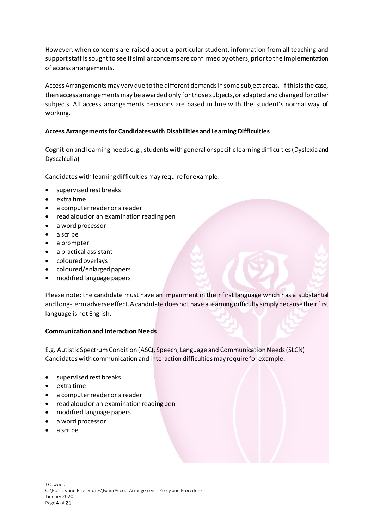However, when concerns are raised about a particular student, information from all teaching and support staff is sought to see if similar concerns are confirmed by others, prior to the implementation of access arrangements.

Access Arrangements may vary due to the different demands in some subject areas. If this is the case, then access arrangements may be awarded only forthose subjects, or adapted and changed for other subjects. All access arrangements decisions are based in line with the student's normal way of working.

# **Access Arrangements for Candidates with Disabilities and Learning Difficulties**

Cognition and learning needs e.g., students with general or specific learning difficulties (Dyslexia and Dyscalculia)

Candidates with learning difficulties may require for example:

- supervised rest breaks
- extra time
- a computer reader or a reader
- read aloud or an examination reading pen
- a word processor
- a scribe
- a prompter
- a practical assistant
- coloured overlays
- coloured/enlarged papers
- modified language papers

Please note: the candidate must have an impairment in their first language which has a substantial and long-termadverse effect. A candidate does not have a learning difficulty simply because their first language is not English.

# **Communication and Interaction Needs**

E.g. Autistic Spectrum Condition (ASC), Speech, Language and Communication Needs (SLCN) Candidates with communication and interaction difficulties may require for example:

- supervised rest breaks
- extra time
- a computer reader or a reader
- read aloud or an examination reading pen
- modified language papers
- a word processor
- a scribe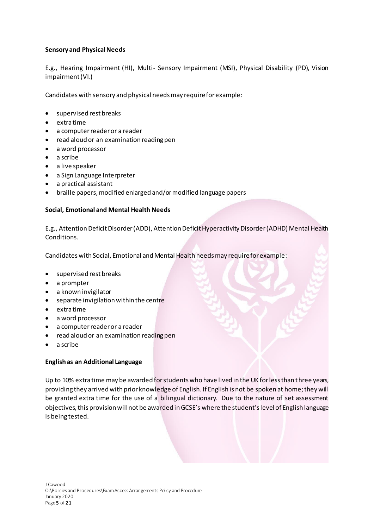# **Sensory and Physical Needs**

E.g., Hearing Impairment (HI), Multi- Sensory Impairment (MSI), Physical Disability (PD), Vision impairment (VI.)

Candidates with sensory and physical needs may require for example:

- supervised rest breaks
- extra time
- a computer reader or a reader
- read aloud or an examination reading pen
- a word processor
- a scribe
- a live speaker
- a Sign Language Interpreter
- a practical assistant
- braille papers, modified enlarged and/or modified language papers

# **Social, Emotional and Mental Health Needs**

E.g., Attention Deficit Disorder (ADD), Attention Deficit Hyperactivity Disorder (ADHD) Mental Health Conditions.

Candidates with Social, Emotional and Mental Health needs may require for example:

- supervised rest breaks
- a prompter
- a known invigilator
- separate invigilation within the centre
- extra time
- a word processor
- a computer reader or a reader
- read aloud or an examination reading pen
- a scribe

# **English as an Additional Language**

Up to 10% extra time may be awarded for students who have lived in the UK for less than three years, providing they arrived with prior knowledge of English. If English is not be spoken at home; they will be granted extra time for the use of a bilingual dictionary. Due to the nature of set assessment objectives, this provision will not be awarded in GCSE's where the student's level of English language is being tested.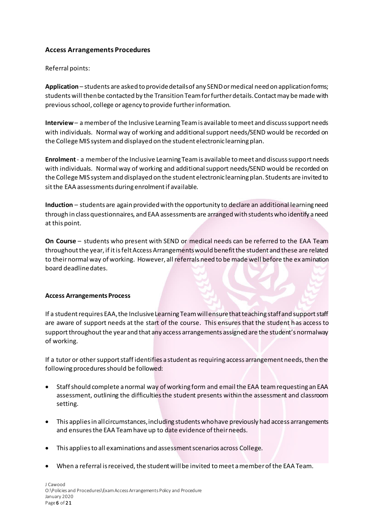# **Access Arrangements Procedures**

Referral points:

**Application** – students are asked to provide details of any SEND or medical need on application forms; students will then be contacted by the Transition Team for further details. Contact may be made with previous school, college or agency to provide further information.

**Interview**– a member of the Inclusive Learning Team is available to meet and discuss support needs with individuals. Normal way of working and additional support needs/SEND would be recorded on the College MIS system and displayed on the student electronic learning plan.

**Enrolment**- a member of the Inclusive Learning Team is available to meet and discuss support needs with individuals. Normal way of working and additional support needs/SEND would be recorded on the College MIS system and displayed on the student electronic learning plan. Students are invited to sit the EAA assessments during enrolment if available.

**Induction** – students are again provided with the opportunity to declare an additional learning need through in class questionnaires, and EAA assessments are arranged with students who identify a need at this point.

**On Course** – students who present with SEND or medical needs can be referred to the EAA Team throughout the year, if it is felt Access Arrangements would benefit the student and these are related to their normal way of working. However, all referrals need to be made well before the ex amination board deadline dates.

# **Access Arrangements Process**

If a student requires EAA, the Inclusive Learning Team will ensure that teaching staff and support staff are aware of support needs at the start of the course. This ensures that the student has access to support throughout the year and that any access arrangements assigned are the student's normal way of working.

If a tutor or other support staff identifies a student as requiring access arrangement needs, then the following procedures should be followed:

- Staff should complete a normal way of working form and email the EAA team requesting an EAA assessment, outlining the difficulties the student presents within the assessment and classroom setting.
- This applies in all circumstances, including students who have previously had access arrangements and ensures the EAA Team have up to date evidence of their needs.
- This applies to all examinations and assessment scenarios across College.
- When a referral is received, the student will be invited to meet a member of the EAA Team.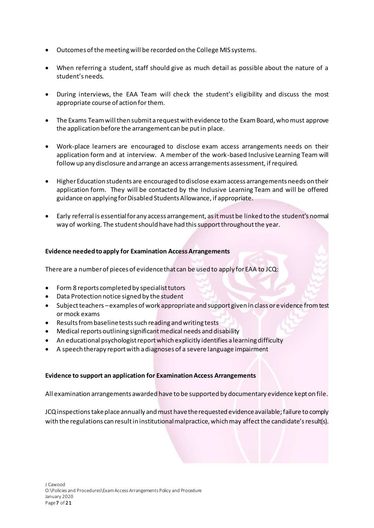- Outcomes of the meeting will be recorded on the College MIS systems.
- When referring a student, staff should give as much detail as possible about the nature of a student's needs.
- During interviews, the EAA Team will check the student's eligibility and discuss the most appropriate course of action for them.
- The Exams Team will then submit a request with evidence to the Exam Board, who must approve the application before the arrangement can be put in place.
- Work-place learners are encouraged to disclose exam access arrangements needs on their application form and at interview. A member of the work-based Inclusive Learning Team will follow up any disclosure and arrange an access arrangements assessment, if required.
- Higher Education students are encouraged to disclose exam access arrangements needs on their application form. They will be contacted by the Inclusive Learning Team and will be offered guidance on applying for Disabled Students Allowance, if appropriate.
- Early referral is essential for any access arrangement, as it must be linked to the student's normal way of working. The student should have had this support throughout the year.

#### **Evidence needed to apply for Examination Access Arrangements**

There are a number of pieces of evidence that can be used to apply for EAA to JCQ:

- Form 8 reports completed by specialist tutors
- Data Protection notice signed by the student
- Subject teachers –examples of work appropriate and support given in class or evidence from test or mock exams
- Results from baseline tests such reading and writing tests
- Medical reports outlining significant medical needs and disability
- An educational psychologist report which explicitly identifies a learning difficulty
- A speech therapy report with a diagnoses of a severe language impairment

#### **Evidence to support an application for Examination Access Arrangements**

All examination arrangements awarded have to be supported by documentary evidence kept on file.

JCQ inspections take place annually and must have the requested evidence available; failure to comply with the regulations can result in institutional malpractice, which may affect the candidate's result(s).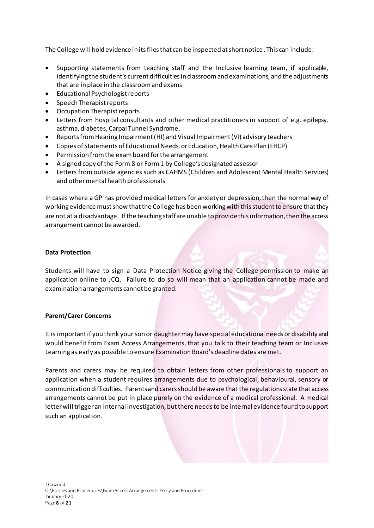The College will hold evidence in its files that can be inspected at short notice. This can include:

- Supporting statements from teaching staff and the Inclusive learning team, if applicable, identifying the student's current difficulties in classroom and examinations, and the adjustments that are in place in the classroom and exams
- Educational Psychologist reports
- Speech Therapist reports
- Occupation Therapist reports
- Letters from hospital consultants and other medical practitioners in support of e.g. epilepsy, asthma, diabetes, Carpal Tunnel Syndrome.
- Reports from Hearing Impairment (HI) and Visual Impairment (VI) advisory teachers
- Copies of Statements of Educational Needs, or Education, Health Care Plan (EHCP)
- Permission from the exam board for the arrangement
- A signed copy of the Form 8 or Form 1 by College's designated assessor
- Letters from outside agencies such as CAHMS (Children and Adolescent Mental Health Services) and other mental health professionals

In cases where a GP has provided medical letters for anxiety or depression, then the normal way of working evidence must show that the College has been working with this student to ensure that they are not at a disadvantage. If the teaching staff are unable to provide this information, then the access arrangement cannot be awarded.

#### **Data Protection**

Students will have to sign a Data Protection Notice giving the College permission to make an application online to JCQ. Failure to do so will mean that an application cannot be made and examination arrangements cannot be granted.

#### **Parent/Carer Concerns**

It is important if you think your son or daughter may have special educational needs or disability and would benefit from Exam Access Arrangements, that you talk to their teaching team or Inclusive Learning as early as possible to ensure Examination Board's deadline dates are met.

Parents and carers may be required to obtain letters from other professionals to support an application when a student requires arrangements due to psychological, behavioural, sensory or communication difficulties. Parents and carers should be aware that the regulations state that access arrangements cannot be put in place purely on the evidence of a medical professional. A medical letter will trigger an internal investigation, but there needs to be internal evidence found to support such an application.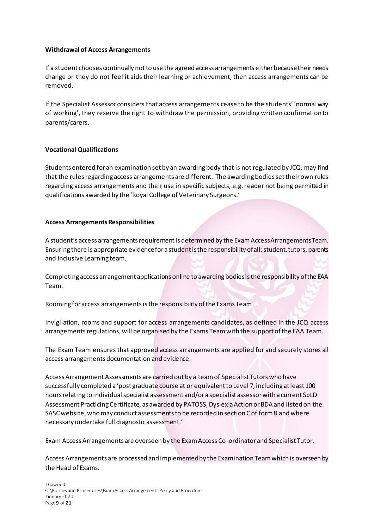#### **Withdrawal of Access Arrangements**

If a student chooses continually not to use the agreed access arrangements either because their needs change or they do not feel it aids their learning or achievement, then access arrangements can be removed.

If the Specialist Assessor considers that access arrangements cease to be the students' 'normal way of working', they reserve the right to withdraw the permission, providing written confirmation to parents/carers.

# **Vocational Qualifications**

Students entered for an examination set by an awarding body that is not regulated by JCQ, may find that the rules regarding access arrangements are different. The awarding bodies set their own rules regarding access arrangements and their use in specific subjects, e.g. reader not being permitted in qualifications awarded by the 'Royal College of Veterinary Surgeons.'

#### **Access Arrangements Responsibilities**

A student's access arrangements requirement is determined by the Exam Access Arrangements Team. Ensuring there is appropriate evidence for a student is the responsibility of all: student, tutors, parents and Inclusive Learning team.

Completing access arrangement applications online to awarding bodies is the responsibility of the EAA Team.

Rooming for access arrangements is the responsibility of the Exams Team.

Invigilation, rooms and support for access arrangements candidates, as defined in the JCQ access arrangements regulations, will be organised by the Exams Team with the support of the EAA Team.

The Exam Team ensures that approved access arrangements are applied for and securely stores all access arrangements documentation and evidence.

Access Arrangement Assessments are carried out by a team of Specialist Tutors who have successfully completed a 'post graduate course at or equivalent to Level 7, including at least 100 hours relating to individual specialist assessment and/or a specialist assessor with a current SpLD Assessment Practicing Certificate, as awarded by PATOSS, Dyslexia Action or BDA and listed on the SASC website, who may conduct assessments to be recorded in section C of form 8 and where necessary undertake full diagnostic assessment.'

Exam Access Arrangements are overseen by the Exam Access Co-ordinator and Specialist Tutor.

Access Arrangements are processed and implemented by the Examination Team which is overseen by the Head of Exams.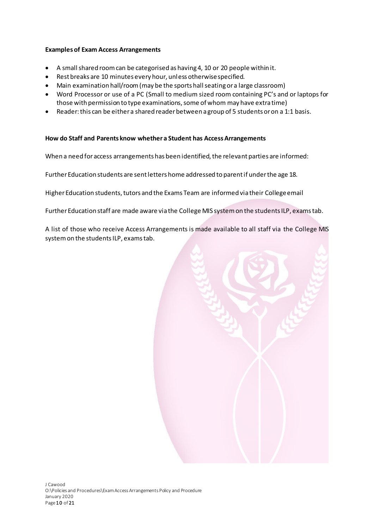#### **Examples of Exam Access Arrangements**

- A small shared room can be categorised as having 4, 10 or 20 people within it.
- Rest breaks are 10 minutes every hour, unless otherwise specified.
- Main examination hall/room (may be the sports hall seating or a large classroom)
- Word Processor or use of a PC (Small to medium sized room containing PC's and or laptops for those with permission to type examinations, some of whom may have extra time)
- Reader: this can be either a shared reader between a group of 5 students or on a 1:1 basis.

# **How do Staff and Parents know whether a Student has Access Arrangements**

When a need for access arrangements has been identified, the relevant parties are informed:

Further Education students are sent letters home addressed to parent if under the age 18.

Higher Education students, tutors and the Exams Team are informed via their College email

Further Education staff are made aware via the College MIS system on the students ILP, exams tab.

A list of those who receive Access Arrangements is made available to all staff via the College MIS system on the students ILP, exams tab.

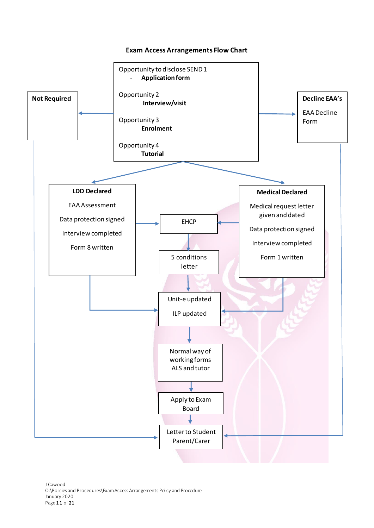#### **Exam Access Arrangements Flow Chart**

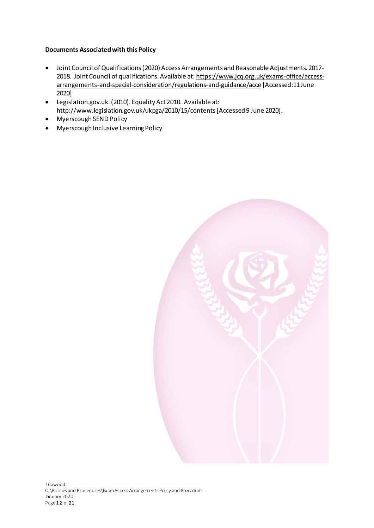# **Documents Associated with this Policy**

- Joint Council of Qualifications (2020) Access Arrangements and Reasonable Adjustments. 2017- 2018. Joint Council of qualifications. Available at[: https://www.jcq.org.uk/exams-office/access](https://www.jcq.org.uk/exams-office/access-arrangements-and-special-consideration/regulations-and-guidance/acce)[arrangements-and-special-consideration/regulations-and-guidance/acce](https://www.jcq.org.uk/exams-office/access-arrangements-and-special-consideration/regulations-and-guidance/acce) [Accessed:11 June 2020]
- Legislation.gov.uk. (2010). Equality Act 2010. Available at: http://www.legislation.gov.uk/ukpga/2010/15/contents [Accessed 9 June 2020].
- Myerscough SEND Policy
- Myerscough Inclusive Learning Policy

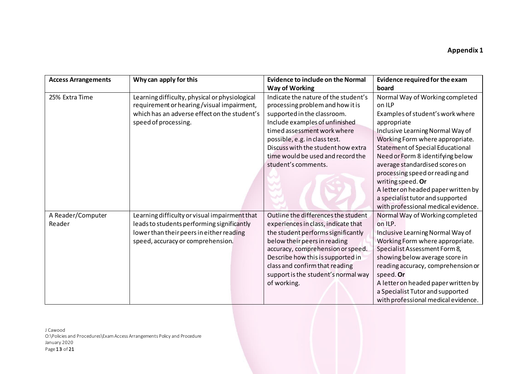| <b>Access Arrangements</b> | Why can apply for this                                                                                                                                              | <b>Evidence to include on the Normal</b>                                                                                                                                                                                                                                                                    | Evidence required for the exam                                                                                                                                                                                                                                                                                                                                                                                                                                 |
|----------------------------|---------------------------------------------------------------------------------------------------------------------------------------------------------------------|-------------------------------------------------------------------------------------------------------------------------------------------------------------------------------------------------------------------------------------------------------------------------------------------------------------|----------------------------------------------------------------------------------------------------------------------------------------------------------------------------------------------------------------------------------------------------------------------------------------------------------------------------------------------------------------------------------------------------------------------------------------------------------------|
|                            |                                                                                                                                                                     | <b>Way of Working</b>                                                                                                                                                                                                                                                                                       | board                                                                                                                                                                                                                                                                                                                                                                                                                                                          |
| 25% Extra Time             | Learning difficulty, physical or physiological<br>requirement or hearing/visual impairment,<br>which has an adverse effect on the student's<br>speed of processing. | Indicate the nature of the student's<br>processing problem and how it is<br>supported in the classroom.<br>Include examples of unfinished<br>timed assessment work where<br>possible, e.g. in class test.<br>Discuss with the student how extra<br>time would be used and record the<br>student's comments. | Normal Way of Working completed<br>on ILP<br>Examples of student's work where<br>appropriate<br>Inclusive Learning Normal Way of<br>Working Form where appropriate.<br><b>Statement of Special Educational</b><br>Need or Form 8 identifying below<br>average standardised scores on<br>processing speed or reading and<br>writing speed. Or<br>A letter on headed paper written by<br>a specialist tutor and supported<br>with professional medical evidence. |
| A Reader/Computer          | Learning difficulty or visual impairment that                                                                                                                       | Outline the differences the student                                                                                                                                                                                                                                                                         | Normal Way of Working completed                                                                                                                                                                                                                                                                                                                                                                                                                                |
| Reader                     | leads to students performing significantly<br>lower than their peers in either reading<br>speed, accuracy or comprehension.                                         | experiences in class, indicate that<br>the student performs significantly<br>below their peers in reading<br>accuracy, comprehension or speed.<br>Describe how this is supported in<br>class and confirm that reading<br>support is the student's normal way<br>of working.                                 | on ILP.<br>Inclusive Learning Normal Way of<br>Working Form where appropriate.<br>Specialist Assessment Form 8,<br>showing below average score in<br>reading accuracy, comprehension or<br>speed. Or<br>A letter on headed paper written by<br>a Specialist Tutor and supported<br>with professional medical evidence.                                                                                                                                         |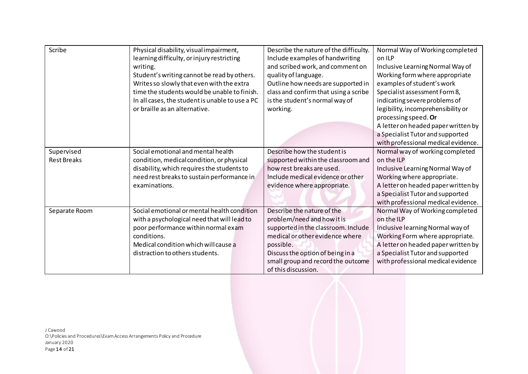| Scribe             | Physical disability, visual impairment,         | Describe the nature of the difficulty. | Normal Way of Working completed     |
|--------------------|-------------------------------------------------|----------------------------------------|-------------------------------------|
|                    | learning difficulty, or injury restricting      | Include examples of handwriting        | on ILP                              |
|                    | writing.                                        | and scribed work, and comment on       | Inclusive Learning Normal Way of    |
|                    | Student's writing cannot be read by others.     | quality of language.                   | Working form where appropriate      |
|                    | Writes so slowly that even with the extra       | Outline how needs are supported in     | examples of student's work          |
|                    | time the students would be unable to finish.    | class and confirm that using a scribe  | Specialist assessment Form 8,       |
|                    | In all cases, the student is unable to use a PC | is the student's normal way of         | indicating severe problems of       |
|                    | or braille as an alternative.                   | working.                               | legibility, incomprehensibility or  |
|                    |                                                 |                                        | processing speed. Or                |
|                    |                                                 |                                        | A letter on headed paper written by |
|                    |                                                 |                                        | a Specialist Tutor and supported    |
|                    |                                                 |                                        | with professional medical evidence. |
| Supervised         | Social emotional and mental health              | Describe how the student is            | Normal way of working completed     |
| <b>Rest Breaks</b> | condition, medical condition, or physical       | supported within the classroom and     | on the ILP                          |
|                    | disability, which requires the students to      | how rest breaks are used.              | Inclusive Learning Normal Way of    |
|                    | need rest breaks to sustain performance in      | Include medical evidence or other      | Working where appropriate.          |
|                    | examinations.                                   | evidence where appropriate.            | A letter on headed paper written by |
|                    |                                                 |                                        | a Specialist Tutor and supported    |
|                    |                                                 |                                        | with professional medical evidence. |
| Separate Room      | Social emotional or mental health condition     | Describe the nature of the             | Normal Way of Working completed     |
|                    | with a psychological need that will lead to     | problem/need and how it is             | on the ILP                          |
|                    | poor performance within normal exam             | supported in the classroom. Include    | Inclusive learning Normal way of    |
|                    | conditions.                                     | medical or other evidence where        | Working Form where appropriate.     |
|                    | Medical condition which will cause a            | possible.                              | A letter on headed paper written by |
|                    | distraction to others students.                 | Discuss the option of being in a       | a Specialist Tutor and supported    |
|                    |                                                 | small group and record the outcome     | with professional medical evidence  |
|                    |                                                 | of this discussion.                    |                                     |

J Cawood O:\Policies and Procedures\Exam Access Arrangements Policy and Procedure January 2020 Page  $14$  of  $21$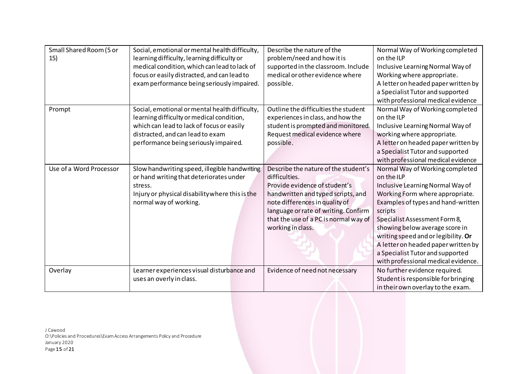| Small Shared Room (5 or | Social, emotional or mental health difficulty,  | Describe the nature of the            | Normal Way of Working completed     |
|-------------------------|-------------------------------------------------|---------------------------------------|-------------------------------------|
| 15)                     | learning difficulty, learning difficulty or     | problem/need and how it is            | on the ILP                          |
|                         | medical condition, which can lead to lack of    | supported in the classroom. Include   | Inclusive Learning Normal Way of    |
|                         | focus or easily distracted, and can lead to     | medical or other evidence where       | Working where appropriate.          |
|                         | exam performance being seriously impaired.      | possible.                             | A letter on headed paper written by |
|                         |                                                 |                                       | a Specialist Tutor and supported    |
|                         |                                                 |                                       | with professional medical evidence  |
| Prompt                  | Social, emotional or mental health difficulty,  | Outline the difficulties the student  | Normal Way of Working completed     |
|                         | learning difficulty or medical condition,       | experiences in class, and how the     | on the ILP                          |
|                         | which can lead to lack of focus or easily       | student is prompted and monitored.    | Inclusive Learning Normal Way of    |
|                         | distracted, and can lead to exam                | Request medical evidence where        | working where appropriate.          |
|                         | performance being seriously impaired.           | possible.                             | A letter on headed paper written by |
|                         |                                                 |                                       | a Specialist Tutor and supported    |
|                         |                                                 |                                       | with professional medical evidence  |
| Use of a Word Processor | Slow handwriting speed, illegible handwriting   | Describe the nature of the student's  | Normal Way of Working completed     |
|                         | or hand writing that deteriorates under         | difficulties.                         | on the ILP                          |
|                         | stress.                                         | Provide evidence of student's         | Inclusive Learning Normal Way of    |
|                         | Injury or physical disability where this is the | handwritten and typed scripts, and    | Working Form where appropriate.     |
|                         | normal way of working.                          | note differences in quality of        | Examples of types and hand-written  |
|                         |                                                 | language or rate of writing. Confirm  | scripts                             |
|                         |                                                 | that the use of a PC is normal way of | Specialist Assessment Form 8,       |
|                         |                                                 | working in class.                     | showing below average score in      |
|                         |                                                 |                                       | writing speed and or legibility. Or |
|                         |                                                 |                                       | A letter on headed paper written by |
|                         |                                                 |                                       | a Specialist Tutor and supported    |
|                         |                                                 |                                       | with professional medical evidence. |
| Overlay                 | Learner experiences visual disturbance and      | Evidence of need not necessary        | No further evidence required.       |
|                         | uses an overly in class.                        |                                       | Student is responsible for bringing |
|                         |                                                 |                                       | in their own overlay to the exam.   |
|                         |                                                 |                                       |                                     |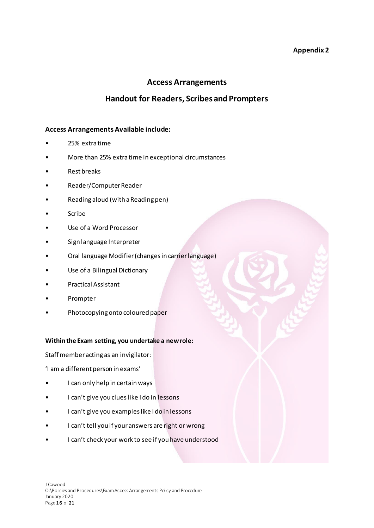# **Appendix 2**

# **Access Arrangements**

# **Handout for Readers, Scribes and Prompters**

# **Access Arrangements Available include:**

- 25% extra time
- More than 25% extra time in exceptional circumstances
- Rest breaks
- Reader/Computer Reader
- Reading aloud (with a Reading pen)
- **Scribe**
- Use of a Word Processor
- Sign language Interpreter
- Oral language Modifier (changes in carrier language)
- Use of a Bilingual Dictionary
- Practical Assistant
- Prompter
- Photocopying onto coloured paper

#### **Within the Exam setting, you undertake a new role:**

Staff member acting as an invigilator:

'I am a different person in exams'

- I can only help in certain ways
- I can't give you clues like I do in lessons
- I can't give you examples like I do in lessons
- I can't tell you if your answers are right or wrong
- I can't check your work to see if you have understood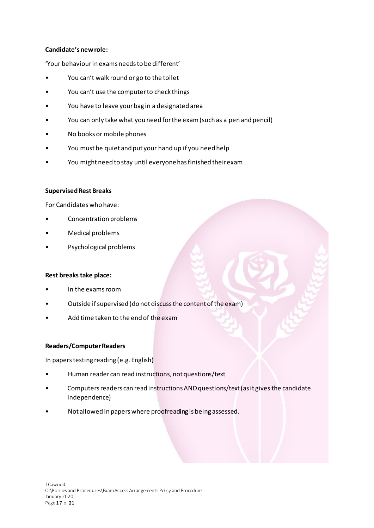#### **Candidate's new role:**

'Your behaviour in exams needs to be different'

- You can't walk round or go to the toilet
- You can't use the computer to check things
- You have to leave your bag in a designated area
- You can only take what you need for the exam (such as a pen and pencil)
- No books or mobile phones
- You must be quiet and put your hand up if you need help
- You might need to stay until everyone has finished their exam

#### **Supervised Rest Breaks**

For Candidates who have:

- Concentration problems
- Medical problems
- Psychological problems

#### **Rest breaks take place:**

- In the exams room
- Outside if supervised (do not discuss the content of the exam)
- Add time taken to the end of the exam

#### **Readers/Computer Readers**

In papers testing reading (e.g. English)

- Human reader can read instructions, not questions/text
- Computers readers can read instructions AND questions/text (as it gives the candidate independence)
- Not allowed in papers where proofreading is being assessed.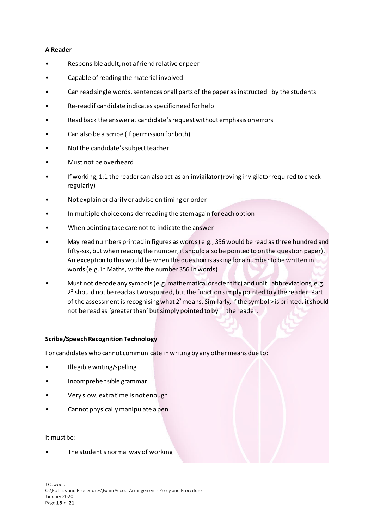#### **A Reader**

- Responsible adult, not a friend relative or peer
- Capable of reading the material involved
- Can read single words, sentences or all parts of the paper as instructed by the students
- Re-read if candidate indicates specific need for help
- Read back the answer at candidate's request without emphasis on errors
- Can also be a scribe (if permission for both)
- Not the candidate's subject teacher
- Must not be overheard
- If working, 1:1 the reader can also act as an invigilator (roving invigilator required to check regularly)
- Not explain or clarify or advise on timing or order
- In multiple choice consider reading the stem again for each option
- When pointing take care not to indicate the answer
- May read numbers printed in figures as words (e.g., 356 would be read as three hundred and fifty-six, but when reading the number, it should also be pointed to on the question paper). An exception to this would be when the question is asking for a number to be written in words (e.g. in Maths, write the number 356 in words)
- Must not decode any symbols (e.g. mathematical or scientific) and unit abbreviations, e.g.  $2<sup>2</sup>$  should not be read as two squared, but the function simply pointed to y the reader. Part of the assessment is recognising what  $2<sup>2</sup>$  means. Similarly, if the symbol > is printed, it should not be read as 'greater than' but simply pointed to by the reader.

# **Scribe/Speech Recognition Technology**

For candidates who cannot communicate in writing by any other means due to:

- Illegible writing/spelling
- Incomprehensible grammar
- Very slow, extra time is not enough
- Cannot physically manipulate a pen

#### It must be:

The student's normal way of working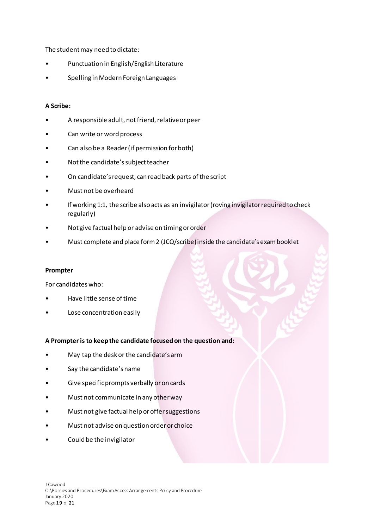The student may need to dictate:

- Punctuation in English/English Literature
- Spelling in Modern Foreign Languages

# **A Scribe:**

- A responsible adult, not friend, relative or peer
- Can write or word process
- Can also be a Reader (if permission for both)
- Not the candidate's subject teacher
- On candidate's request, can read back parts of the script
- Must not be overheard
- If working 1:1, the scribe also acts as an invigilator (roving invigilator required to check regularly)
- Not give factual help or advise on timing or order
- Must complete and place form 2 (JCQ/scribe) inside the candidate's exam booklet

#### **Prompter**

For candidates who:

- Have little sense of time
- Lose concentration easily

#### **A Prompter is to keep the candidate focused on the question and:**

- May tap the desk or the candidate's arm
- Say the candidate's name
- Give specific prompts verbally or on cards
- Must not communicate in any other way
- Must not give factual help or offer suggestions
- Must not advise on question order or choice
- Could be the invigilator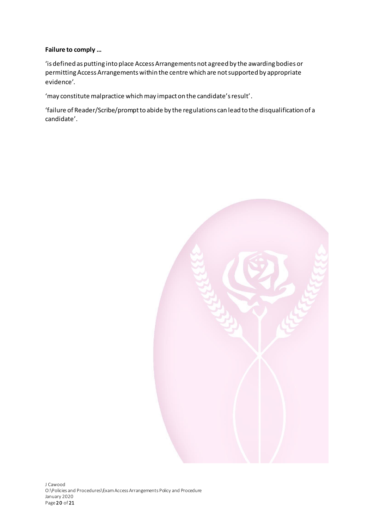# **Failure to comply …**

'is defined as putting into place Access Arrangements not agreed by the awarding bodies or permitting Access Arrangements within the centre which are not supported by appropriate evidence'.

'may constitute malpractice which may impact on the candidate's result'.

'failure of Reader/Scribe/prompt to abide by the regulations can lead to the disqualification of a candidate'.